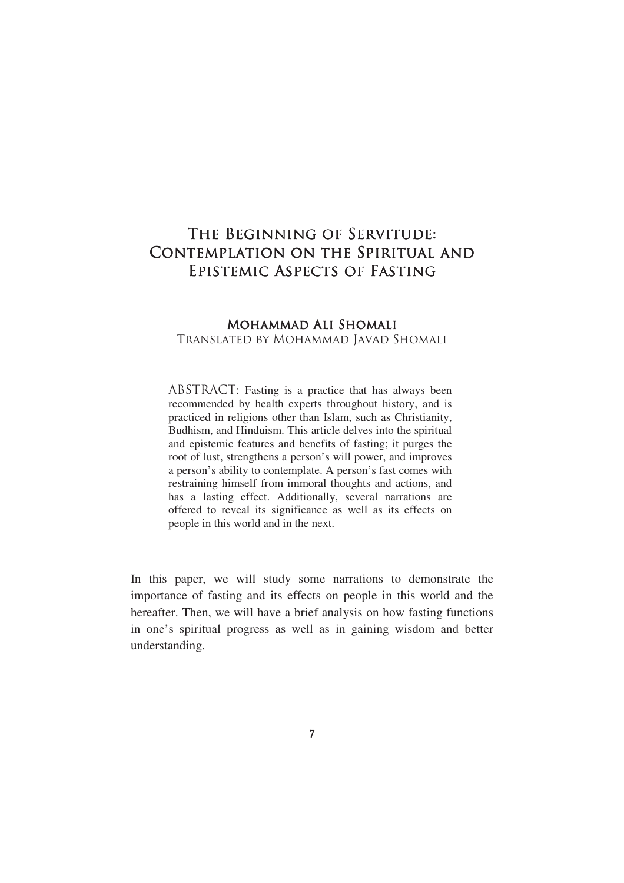# THE BEGINNING OF SERVITUDE: Contemplation on the Spiritual and EPISTEMIC ASPECTS OF FASTING

## MOHAMMAD ALI SHOMALI Translated by Mohammad Javad Shomali

ABSTRACT: Fasting is a practice that has always been recommended by health experts throughout history, and is practiced in religions other than Islam, such as Christianity, Budhism, and Hinduism. This article delves into the spiritual and epistemic features and benefits of fasting; it purges the root of lust, strengthens a person's will power, and improves a person's ability to contemplate. A person's fast comes with restraining himself from immoral thoughts and actions, and has a lasting effect. Additionally, several narrations are offered to reveal its significance as well as its effects on people in this world and in the next.

In this paper, we will study some narrations to demonstrate the importance of fasting and its effects on people in this world and the hereafter. Then, we will have a brief analysis on how fasting functions in one's spiritual progress as well as in gaining wisdom and better understanding.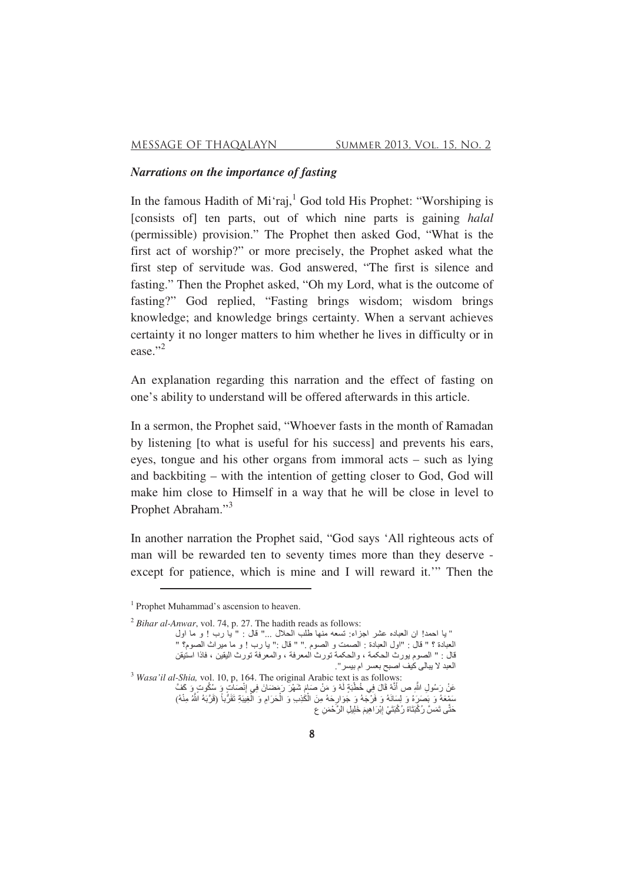## *Narrations on the importance of fasting*

In the famous Hadith of Mi'raj,<sup>1</sup> God told His Prophet: "Worshiping is [consists of] ten parts, out of which nine parts is gaining *halal* (permissible) provision." The Prophet then asked God, "What is the first act of worship?" or more precisely, the Prophet asked what the first step of servitude was. God answered, "The first is silence and fasting." Then the Prophet asked, "Oh my Lord, what is the outcome of fasting?" God replied, "Fasting brings wisdom; wisdom brings knowledge; and knowledge brings certainty. When a servant achieves certainty it no longer matters to him whether he lives in difficulty or in ease."<sup>2</sup>

An explanation regarding this narration and the effect of fasting on one's ability to understand will be offered afterwards in this article.

In a sermon, the Prophet said, "Whoever fasts in the month of Ramadan by listening [to what is useful for his success] and prevents his ears, eyes, tongue and his other organs from immoral acts – such as lying and backbiting – with the intention of getting closer to God, God will make him close to Himself in a way that he will be close in level to Prophet Abraham."<sup>3</sup>

In another narration the Prophet said, "God says 'All righteous acts of man will be rewarded ten to seventy times more than they deserve except for patience, which is mine and I will reward it.'" Then the

<sup>2</sup> *Bihar al-Anwar*, vol. 74, p. 27. The hadith reads as follows:

<u> 1989 - Johann Barn, mars ann an t-Amhair an t-Amhair an t-Amhair an t-Amhair an t-Amhair an t-Amhair an t-Amh</u>

<sup>&</sup>lt;sup>1</sup> Prophet Muhammad's ascension to heaven.

<sup>&</sup>quot; يا احمد! ان العباده عشر اجزاء: تسعه منها طلب الحلال ..." قال : " يا رب ! و ما اول العبادة ؟ " قال : "اول العبادة : الصمت و الصوم ." " قال :" يا رب ! و ما ميراث الصوم؟ " قال : " الصوم يورث الحكمة ، والحكمة تورث المعرفة ، والمعرفة تورث اليقين ، فاذا استيقن العبد لا يبالي كيف اصبح بعسر ام بيسر ".

<sup>3</sup> *Wasa'il al-Shia,* vol. 10, p, 164. The original Arabic text is as follows: عَنْ رَسُولِ اللَّهِ ص أَنَّهُ قَالَ فِي خُطْبَةٍ لَهُ وَ مَنْ صَامَ شَهْرَ رَمَضَانَ فِي إِنْصَابٌ وَ سُكُوتٍ وَ كَفَّ A Î سَمِْعَهُ وَ بَصَرَهُ وَ لِسِلَانَهُ وَ فَرْجَهُ وَ جَوَارِحَهُ مِنَ الْكَٰذِبِ وَ الْحَرَامِ وَ الْغِيبَةِ تَقَرُّباً (قَرَّبَهُ اللَّهُ مِنْهُ) B B B G حَتَّى تَمَسَّ رُكْبَتَاهُ رُكْبَتَيْ إِبْرَاهِيمَ خَلِيلِ الرَّحْمَنِ ع ļ A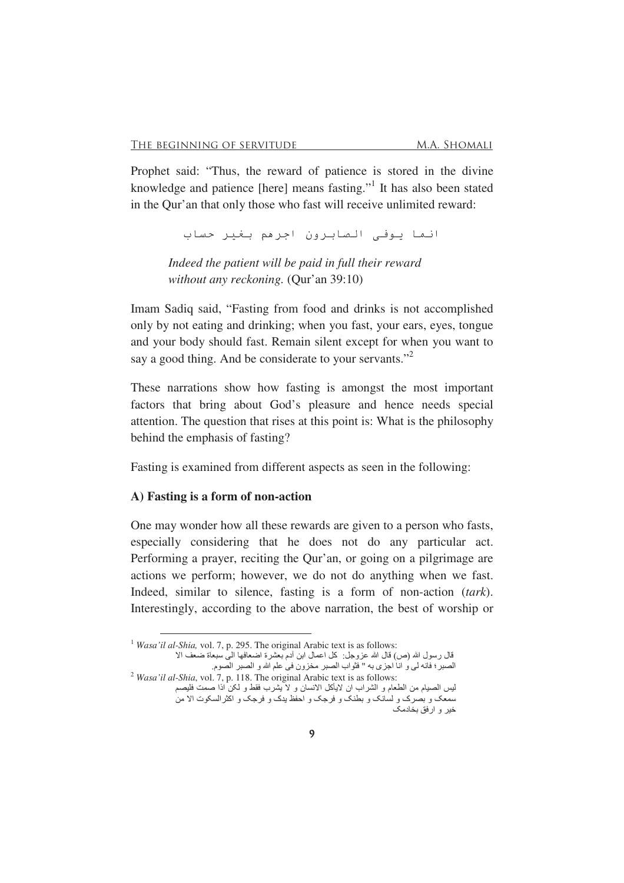Prophet said: "Thus, the reward of patience is stored in the divine knowledge and patience [here] means fasting."<sup>1</sup> It has also been stated in the Qur'an that only those who fast will receive unlimited reward:

انما يوفي الصابرون اجرهم بغير حساب

*Indeed the patient will be paid in full their reward without any reckoning.* (Qur'an 39:10)

Imam Sadiq said, "Fasting from food and drinks is not accomplished only by not eating and drinking; when you fast, your ears, eyes, tongue and your body should fast. Remain silent except for when you want to say a good thing. And be considerate to your servants."<sup>2</sup>

These narrations show how fasting is amongst the most important factors that bring about God's pleasure and hence needs special attention. The question that rises at this point is: What is the philosophy behind the emphasis of fasting?

Fasting is examined from different aspects as seen in the following:

#### **A) Fasting is a form of non-action**

One may wonder how all these rewards are given to a person who fasts, especially considering that he does not do any particular act. Performing a prayer, reciting the Qur'an, or going on a pilgrimage are actions we perform; however, we do not do anything when we fast. Indeed, similar to silence, fasting is a form of non-action (*tark*). Interestingly, according to the above narration, the best of worship or

<u> 1989 - Johann Barn, mars ann an t-Amhair an t-Amhair an t-Amhair an t-Amhair an t-Amhair an t-Amhair an t-Amh</u>

<sup>&</sup>lt;sup>1</sup> *Wasa'il al-Shia*, vol. 7, p. 295. The original Arabic text is as follows:

قال رسول الله (ص) قال الله عزوجل: كل اعمال ابن أدم بعشرة اضعافها المي سبعاة ضعف الا الصبر ؛ فانه لي و انا اجزي به " فثواب الصبر مخزون في علم الله و الصبر الصوم

<sup>2</sup> *Wasa'il al-Shia*, vol. 7, p. 118. The original Arabic text is as follows: ليس الصيام من الطعام و الشراب ان لايأكل الانسان و لا يشرب فقط و لكن اذا صمت فليصم سمعک و بصرک و لسانک و بطنک و فرجک و احفظ یدک و فرجک و اکثرالسکوت الا من خیر و ارفق بخادمک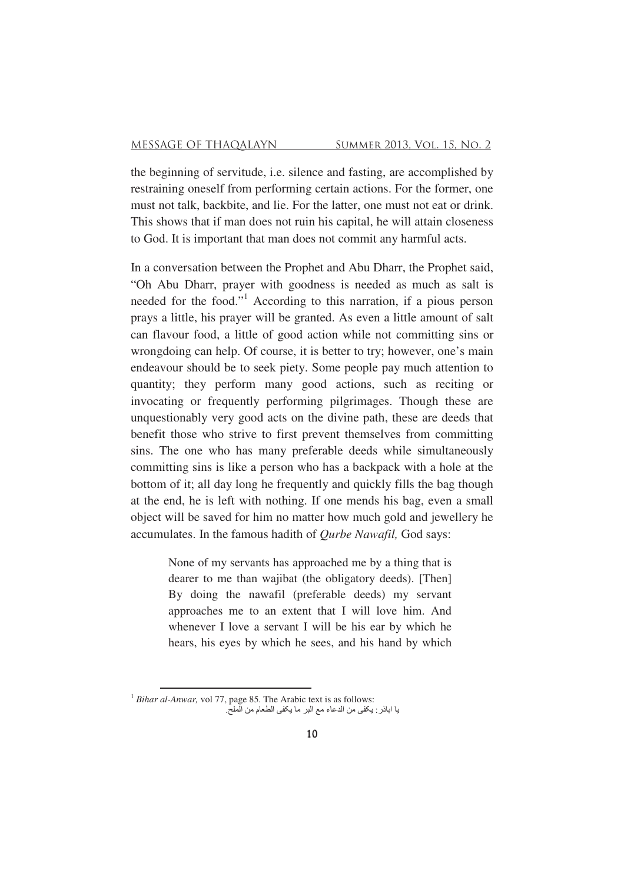the beginning of servitude, i.e. silence and fasting, are accomplished by restraining oneself from performing certain actions. For the former, one must not talk, backbite, and lie. For the latter, one must not eat or drink. This shows that if man does not ruin his capital, he will attain closeness to God. It is important that man does not commit any harmful acts.

In a conversation between the Prophet and Abu Dharr, the Prophet said, "Oh Abu Dharr, prayer with goodness is needed as much as salt is needed for the food."<sup>1</sup> According to this narration, if a pious person prays a little, his prayer will be granted. As even a little amount of salt can flavour food, a little of good action while not committing sins or wrongdoing can help. Of course, it is better to try; however, one's main endeavour should be to seek piety. Some people pay much attention to quantity; they perform many good actions, such as reciting or invocating or frequently performing pilgrimages. Though these are unquestionably very good acts on the divine path, these are deeds that benefit those who strive to first prevent themselves from committing sins. The one who has many preferable deeds while simultaneously committing sins is like a person who has a backpack with a hole at the bottom of it; all day long he frequently and quickly fills the bag though at the end, he is left with nothing. If one mends his bag, even a small object will be saved for him no matter how much gold and jewellery he accumulates. In the famous hadith of *Qurbe Nawafil,* God says:

> None of my servants has approached me by a thing that is dearer to me than wajibat (the obligatory deeds). [Then] By doing the nawafil (preferable deeds) my servant approaches me to an extent that I will love him. And whenever I love a servant I will be his ear by which he hears, his eyes by which he sees, and his hand by which

<u> 1989 - Johann Barn, mars ann an t-Amhair an t-Amhair an t-Amhair an t-Amhair an t-Amhair an t-Amhair an t-Amh</u>

<sup>&</sup>lt;sup>1</sup> *Bihar al-Anwar*, vol 77, page 85. The Arabic text is as follows: يا اباذر : يكفي من الدعاء مع البر ما يكفي الطعام من الملح.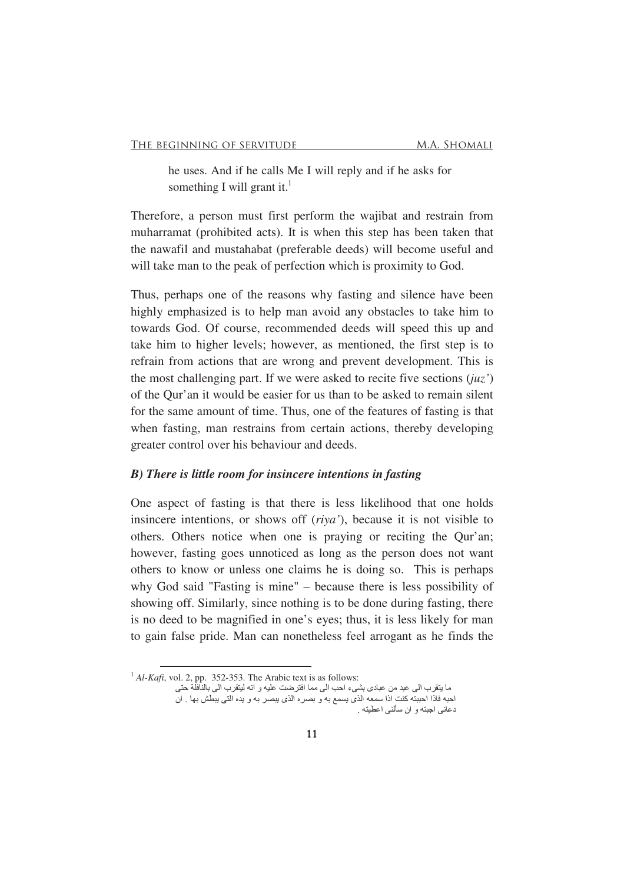he uses. And if he calls Me I will reply and if he asks for something I will grant it.<sup>1</sup>

Therefore, a person must first perform the wajibat and restrain from muharramat (prohibited acts). It is when this step has been taken that the nawafil and mustahabat (preferable deeds) will become useful and will take man to the peak of perfection which is proximity to God.

Thus, perhaps one of the reasons why fasting and silence have been highly emphasized is to help man avoid any obstacles to take him to towards God. Of course, recommended deeds will speed this up and take him to higher levels; however, as mentioned, the first step is to refrain from actions that are wrong and prevent development. This is the most challenging part. If we were asked to recite five sections (*juz'*) of the Qur'an it would be easier for us than to be asked to remain silent for the same amount of time. Thus, one of the features of fasting is that when fasting, man restrains from certain actions, thereby developing greater control over his behaviour and deeds.

#### *B) There is little room for insincere intentions in fasting*

One aspect of fasting is that there is less likelihood that one holds insincere intentions, or shows off (*riya'*), because it is not visible to others. Others notice when one is praying or reciting the Qur'an; however, fasting goes unnoticed as long as the person does not want others to know or unless one claims he is doing so. This is perhaps why God said "Fasting is mine" – because there is less possibility of showing off. Similarly, since nothing is to be done during fasting, there is no deed to be magnified in one's eyes; thus, it is less likely for man to gain false pride. Man can nonetheless feel arrogant as he finds the

<sup>&</sup>lt;sup>1</sup> *Al-Kafi*, vol. 2, pp. 352-353. The Arabic text is as follows:

ما يتقرب الى عبد من عبادى بشيء احب الى مما افترضت عليه و انه ليتقرب الى بالنافلة حتى احبه فاذا احببته كنت اذا سمعه الذي يسمع به و بصره الذي يبصر به و يده التي يبطش بها ¸ ان دعانی اجبته و ان سألنی اعطبته .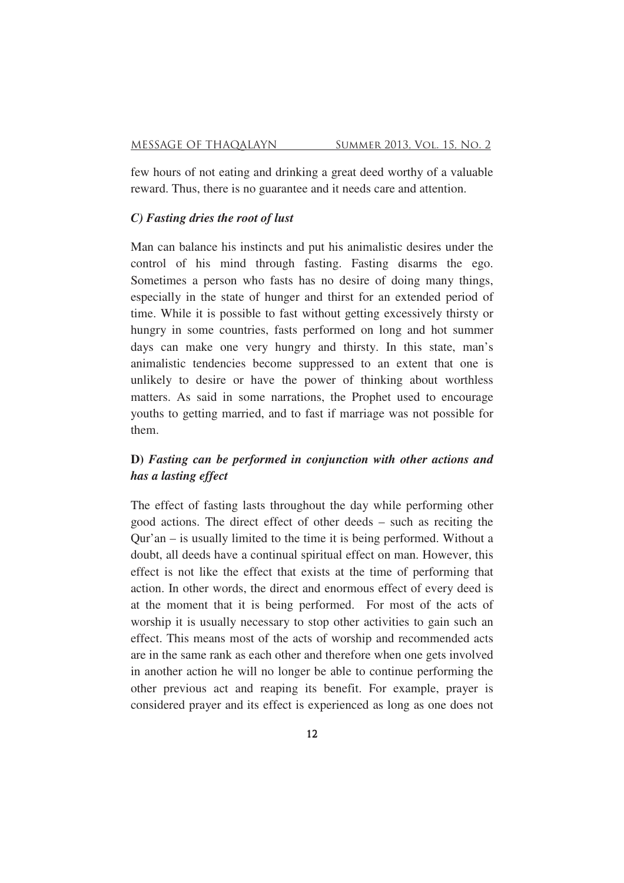few hours of not eating and drinking a great deed worthy of a valuable reward. Thus, there is no guarantee and it needs care and attention.

## *C) Fasting dries the root of lust*

Man can balance his instincts and put his animalistic desires under the control of his mind through fasting. Fasting disarms the ego. Sometimes a person who fasts has no desire of doing many things, especially in the state of hunger and thirst for an extended period of time. While it is possible to fast without getting excessively thirsty or hungry in some countries, fasts performed on long and hot summer days can make one very hungry and thirsty. In this state, man's animalistic tendencies become suppressed to an extent that one is unlikely to desire or have the power of thinking about worthless matters. As said in some narrations, the Prophet used to encourage youths to getting married, and to fast if marriage was not possible for them.

## **D)** *Fasting can be performed in conjunction with other actions and has a lasting effect*

The effect of fasting lasts throughout the day while performing other good actions. The direct effect of other deeds – such as reciting the Qur'an – is usually limited to the time it is being performed. Without a doubt, all deeds have a continual spiritual effect on man. However, this effect is not like the effect that exists at the time of performing that action. In other words, the direct and enormous effect of every deed is at the moment that it is being performed. For most of the acts of worship it is usually necessary to stop other activities to gain such an effect. This means most of the acts of worship and recommended acts are in the same rank as each other and therefore when one gets involved in another action he will no longer be able to continue performing the other previous act and reaping its benefit. For example, prayer is considered prayer and its effect is experienced as long as one does not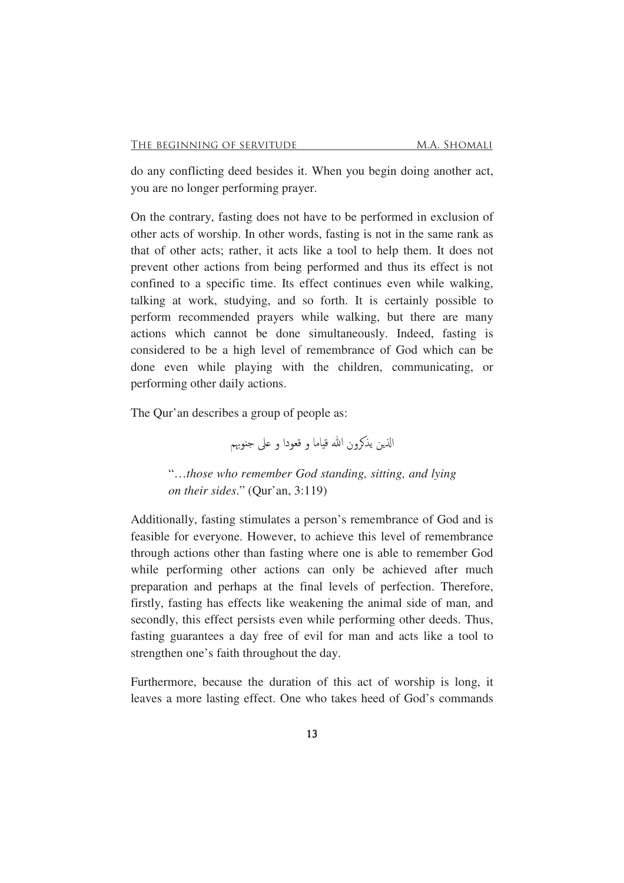do any conflicting deed besides it. When you begin doing another act, you are no longer performing prayer.

On the contrary, fasting does not have to be performed in exclusion of other acts of worship. In other words, fasting is not in the same rank as that of other acts; rather, it acts like a tool to help them. It does not prevent other actions from being performed and thus its effect is not confined to a specific time. Its effect continues even while walking, talking at work, studying, and so forth. It is certainly possible to perform recommended prayers while walking, but there are many actions which cannot be done simultaneously. Indeed, fasting is considered to be a high level of remembrance of God which can be done even while playing with the children, communicating, or performing other daily actions.

The Qur'an describes a group of people as:

الذين يذكرون الله قياما و قعودا و على جنوبهم

"…*those who remember God standing, sitting, and lying on their sides*." (Qur'an, 3:119)

Additionally, fasting stimulates a person's remembrance of God and is feasible for everyone. However, to achieve this level of remembrance through actions other than fasting where one is able to remember God while performing other actions can only be achieved after much preparation and perhaps at the final levels of perfection. Therefore, firstly, fasting has effects like weakening the animal side of man, and secondly, this effect persists even while performing other deeds. Thus, fasting guarantees a day free of evil for man and acts like a tool to strengthen one's faith throughout the day.

Furthermore, because the duration of this act of worship is long, it leaves a more lasting effect. One who takes heed of God's commands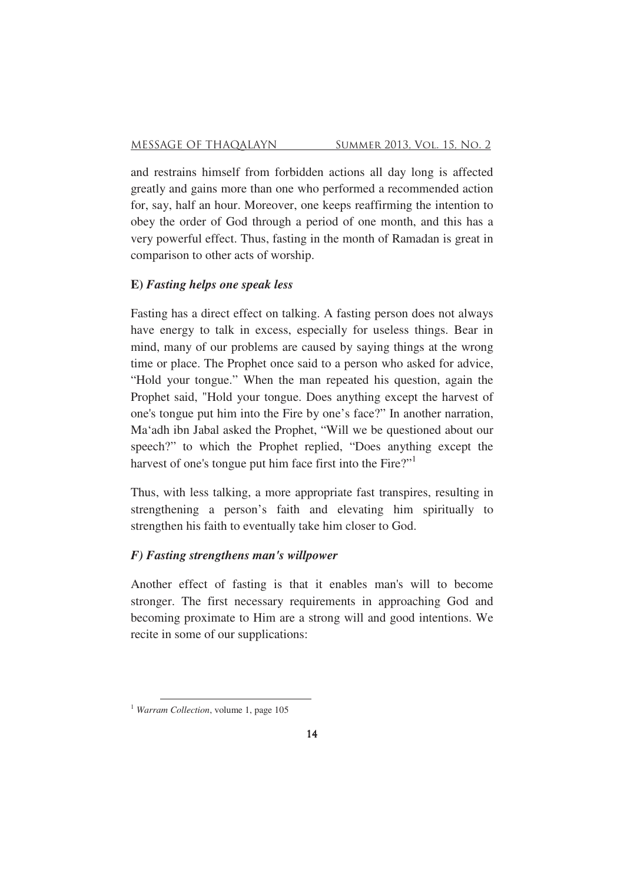and restrains himself from forbidden actions all day long is affected greatly and gains more than one who performed a recommended action for, say, half an hour. Moreover, one keeps reaffirming the intention to obey the order of God through a period of one month, and this has a very powerful effect. Thus, fasting in the month of Ramadan is great in comparison to other acts of worship.

## **E)** *Fasting helps one speak less*

Fasting has a direct effect on talking. A fasting person does not always have energy to talk in excess, especially for useless things. Bear in mind, many of our problems are caused by saying things at the wrong time or place. The Prophet once said to a person who asked for advice, "Hold your tongue." When the man repeated his question, again the Prophet said, "Hold your tongue. Does anything except the harvest of one's tongue put him into the Fire by one's face?" In another narration, Ma'adh ibn Jabal asked the Prophet, "Will we be questioned about our speech?" to which the Prophet replied, "Does anything except the harvest of one's tongue put him face first into the Fire?"<sup>1</sup>

Thus, with less talking, a more appropriate fast transpires, resulting in strengthening a person's faith and elevating him spiritually to strengthen his faith to eventually take him closer to God.

## *F) Fasting strengthens man's willpower*

<u> 1980 - Johann Barn, mars an t-Amerikaansk ferske</u>

Another effect of fasting is that it enables man's will to become stronger. The first necessary requirements in approaching God and becoming proximate to Him are a strong will and good intentions. We recite in some of our supplications:

<sup>1</sup> *Warram Collection*, volume 1, page 105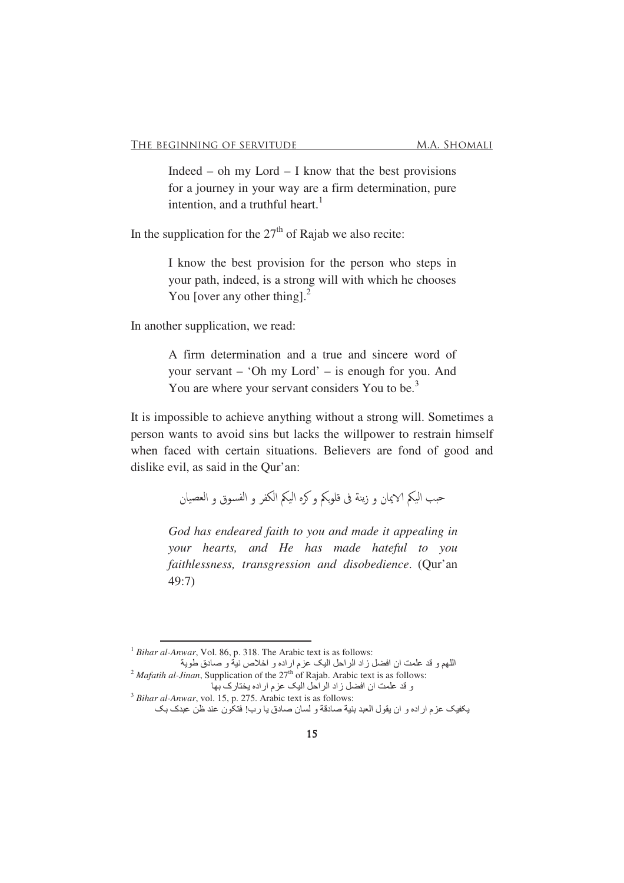Indeed – oh my Lord – I know that the best provisions for a journey in your way are a firm determination, pure intention, and a truthful heart.<sup>1</sup>

In the supplication for the  $27<sup>th</sup>$  of Rajab we also recite:

I know the best provision for the person who steps in your path, indeed, is a strong will with which he chooses You [over any other thing]. $<sup>2</sup>$ </sup>

In another supplication, we read:

A firm determination and a true and sincere word of your servant – 'Oh my Lord' – is enough for you. And You are where your servant considers You to be.<sup>3</sup>

It is impossible to achieve anything without a strong will. Sometimes a person wants to avoid sins but lacks the willpower to restrain himself when faced with certain situations. Believers are fond of good and dislike evil, as said in the Qur'an:

حبب اليكم الايمان و زينة فى قلوبكم و كره اليكم الكفر و الفسوق و العصيان

*God has endeared faith to you and made it appealing in your hearts, and He has made hateful to you faithlessness, transgression and disobedience*. (Qur'an 49:7)

<u> 1989 - Johann Stoff, fransk politik (d. 1989)</u>

<sup>&</sup>lt;sup>1</sup> *Bihar al-Anwar*, Vol. 86, p. 318. The Arabic text is as follows:

اللهم و قد علمت ان افضل زاد الراحل اليک عزم اراده و اخلاص نية و صادق طوية <sup>2</sup> *Mafatih al-Jinan*, Supplication of the  $27<sup>th</sup>$  of Rajab. Arabic text is as follows:

و قد علمت ان افضل زاد الراحل اليک عزم اراده يختارک بها <sup>3</sup> *Bihar al-Anwar*, vol. 15, p. 275. Arabic text is as follows:

يكفيك عزم اراده و ان يقول العبد بنية صادقة و لسان صادق يا رب! فتكون عند ظن عبدك بك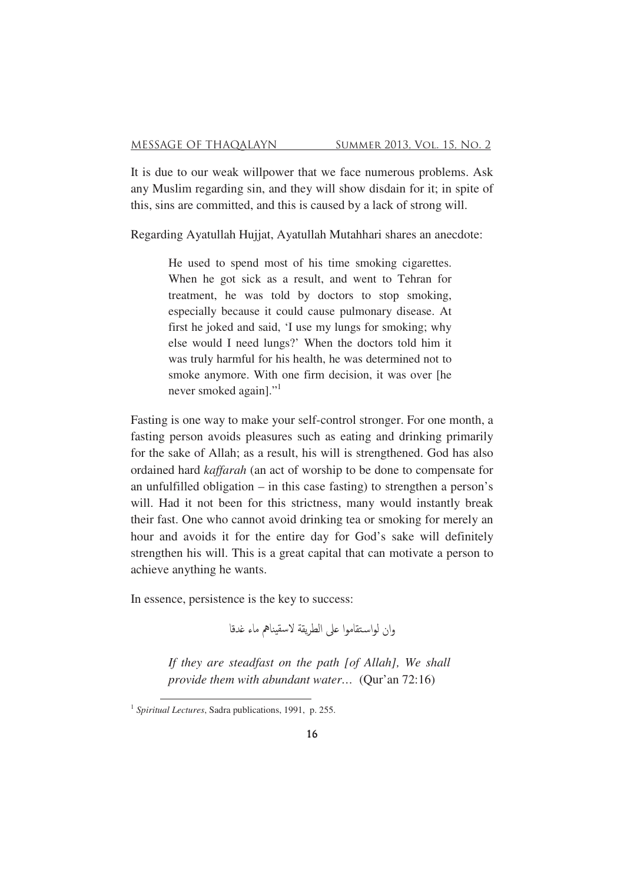It is due to our weak willpower that we face numerous problems. Ask any Muslim regarding sin, and they will show disdain for it; in spite of this, sins are committed, and this is caused by a lack of strong will.

Regarding Ayatullah Hujjat, Ayatullah Mutahhari shares an anecdote:

He used to spend most of his time smoking cigarettes. When he got sick as a result, and went to Tehran for treatment, he was told by doctors to stop smoking, especially because it could cause pulmonary disease. At first he joked and said, 'I use my lungs for smoking; why else would I need lungs?' When the doctors told him it was truly harmful for his health, he was determined not to smoke anymore. With one firm decision, it was over [he never smoked again]."<sup>1</sup>

Fasting is one way to make your self-control stronger. For one month, a fasting person avoids pleasures such as eating and drinking primarily for the sake of Allah; as a result, his will is strengthened. God has also ordained hard *kaffarah* (an act of worship to be done to compensate for an unfulfilled obligation – in this case fasting) to strengthen a person's will. Had it not been for this strictness, many would instantly break their fast. One who cannot avoid drinking tea or smoking for merely an hour and avoids it for the entire day for God's sake will definitely strengthen his will. This is a great capital that can motivate a person to achieve anything he wants.

In essence, persistence is the key to success:

وان لواستقاموا على الطريقة لاسقيناهم ماء غدقا

*If they are steadfast on the path [of Allah], We shall provide them with abundant water…* (Qur'an 72:16)

<sup>&</sup>lt;u> 1980 - Johann Barn, mars an t-Amerikaansk ferske</u> 1 *Spiritual Lectures*, Sadra publications, 1991, p. 255.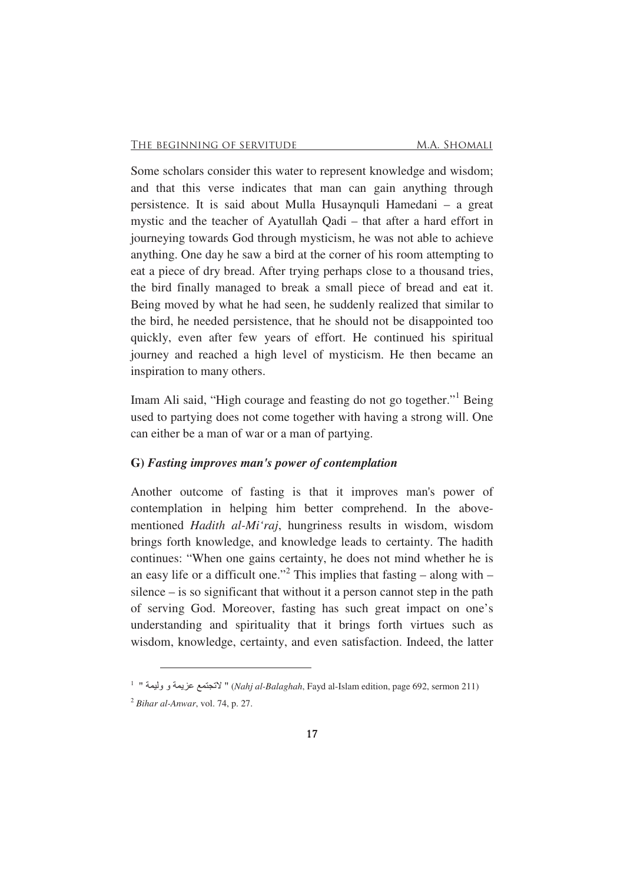Some scholars consider this water to represent knowledge and wisdom; and that this verse indicates that man can gain anything through persistence. It is said about Mulla Husaynquli Hamedani – a great mystic and the teacher of Ayatullah Qadi – that after a hard effort in journeying towards God through mysticism, he was not able to achieve anything. One day he saw a bird at the corner of his room attempting to eat a piece of dry bread. After trying perhaps close to a thousand tries, the bird finally managed to break a small piece of bread and eat it. Being moved by what he had seen, he suddenly realized that similar to the bird, he needed persistence, that he should not be disappointed too quickly, even after few years of effort. He continued his spiritual journey and reached a high level of mysticism. He then became an inspiration to many others.

Imam Ali said, "High courage and feasting do not go together."<sup>1</sup> Being used to partying does not come together with having a strong will. One can either be a man of war or a man of partying.

### **G)** *Fasting improves man's power of contemplation*

<u> 1980 - Johann Barn, mars an t-Amerikaansk ferske</u>

Another outcome of fasting is that it improves man's power of contemplation in helping him better comprehend. In the abovementioned *Hadith al-Mi'raj*, hungriness results in wisdom, wisdom brings forth knowledge, and knowledge leads to certainty. The hadith continues: "When one gains certainty, he does not mind whether he is an easy life or a difficult one."<sup>2</sup> This implies that fasting  $-$  along with  $$ silence – is so significant that without it a person cannot step in the path of serving God. Moreover, fasting has such great impact on one's understanding and spirituality that it brings forth virtues such as wisdom, knowledge, certainty, and even satisfaction. Indeed, the latter

 $^{\rm 1-1}$  " لاتجتمع عزيمة و وليمة " (*Nahj al-Balaghah*, Fayd al-Islam edition, page 692, sermon 211) <sup>2</sup> *Bihar al-Anwar*, vol. 74, p. 27.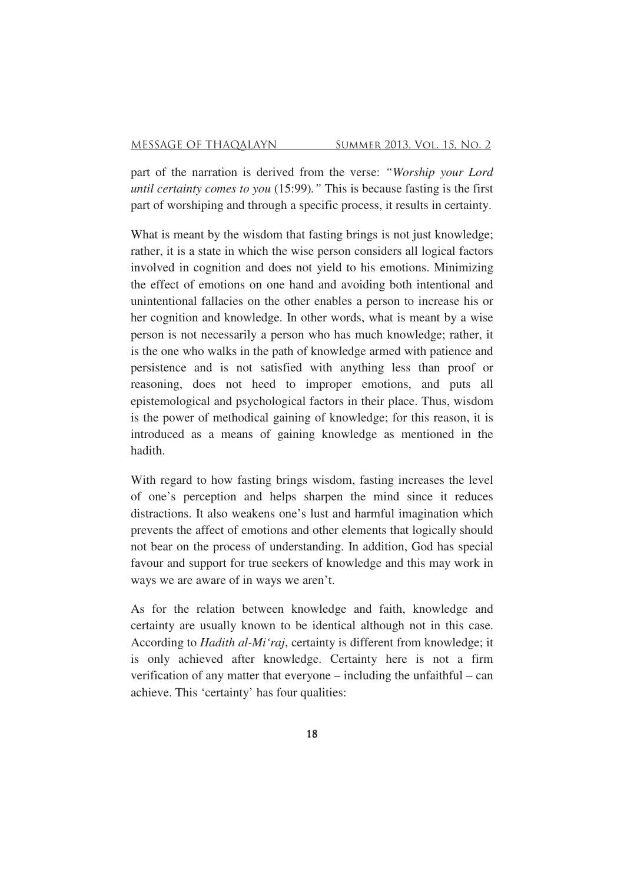part of the narration is derived from the verse: *"Worship your Lord until certainty comes to you* (15:99)*."* This is because fasting is the first part of worshiping and through a specific process, it results in certainty.

What is meant by the wisdom that fasting brings is not just knowledge; rather, it is a state in which the wise person considers all logical factors involved in cognition and does not yield to his emotions. Minimizing the effect of emotions on one hand and avoiding both intentional and unintentional fallacies on the other enables a person to increase his or her cognition and knowledge. In other words, what is meant by a wise person is not necessarily a person who has much knowledge; rather, it is the one who walks in the path of knowledge armed with patience and persistence and is not satisfied with anything less than proof or reasoning, does not heed to improper emotions, and puts all epistemological and psychological factors in their place. Thus, wisdom is the power of methodical gaining of knowledge; for this reason, it is introduced as a means of gaining knowledge as mentioned in the hadith.

With regard to how fasting brings wisdom, fasting increases the level of one's perception and helps sharpen the mind since it reduces distractions. It also weakens one's lust and harmful imagination which prevents the affect of emotions and other elements that logically should not bear on the process of understanding. In addition, God has special favour and support for true seekers of knowledge and this may work in ways we are aware of in ways we aren't.

As for the relation between knowledge and faith, knowledge and certainty are usually known to be identical although not in this case. According to *Hadith al-Mi'raj*, certainty is different from knowledge; it is only achieved after knowledge. Certainty here is not a firm verification of any matter that everyone – including the unfaithful – can achieve. This 'certainty' has four qualities: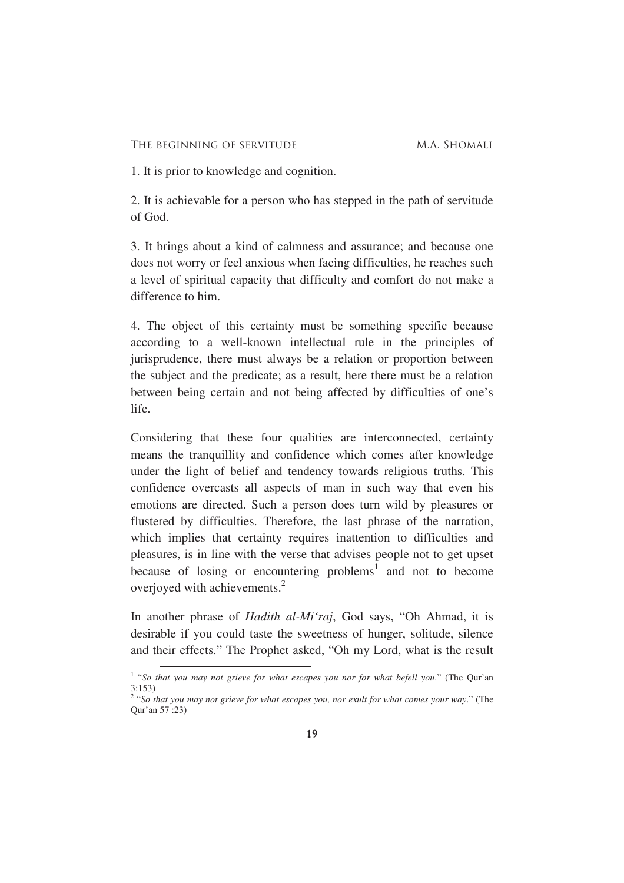1. It is prior to knowledge and cognition.

2. It is achievable for a person who has stepped in the path of servitude of God.

3. It brings about a kind of calmness and assurance; and because one does not worry or feel anxious when facing difficulties, he reaches such a level of spiritual capacity that difficulty and comfort do not make a difference to him.

4. The object of this certainty must be something specific because according to a well-known intellectual rule in the principles of jurisprudence, there must always be a relation or proportion between the subject and the predicate; as a result, here there must be a relation between being certain and not being affected by difficulties of one's life.

Considering that these four qualities are interconnected, certainty means the tranquillity and confidence which comes after knowledge under the light of belief and tendency towards religious truths. This confidence overcasts all aspects of man in such way that even his emotions are directed. Such a person does turn wild by pleasures or flustered by difficulties. Therefore, the last phrase of the narration, which implies that certainty requires inattention to difficulties and pleasures, is in line with the verse that advises people not to get upset because of losing or encountering problems<sup>1</sup> and not to become overjoyed with achievements.<sup>2</sup>

In another phrase of *Hadith al-Mi'raj*, God says, "Oh Ahmad, it is desirable if you could taste the sweetness of hunger, solitude, silence and their effects." The Prophet asked, "Oh my Lord, what is the result

<sup>&</sup>lt;sup>1</sup> "So that you may not grieve for what escapes you nor for what befell you." (The Qur'an 3:153) 2 "*So that you may not grieve for what escapes you, nor exult for what comes your way*." (The

Qur'an 57 :23)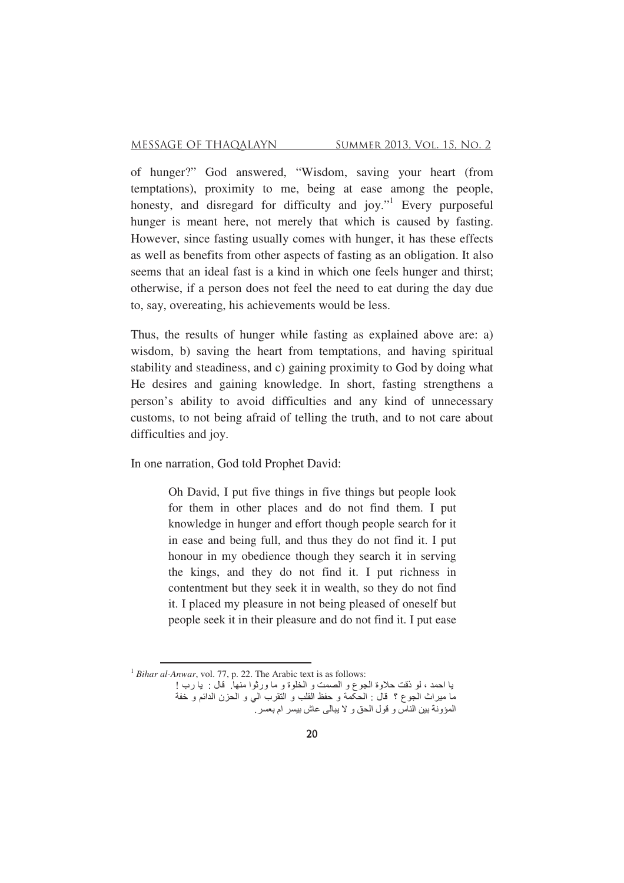of hunger?" God answered, "Wisdom, saving your heart (from temptations), proximity to me, being at ease among the people, honesty, and disregard for difficulty and joy." Every purposeful hunger is meant here, not merely that which is caused by fasting. However, since fasting usually comes with hunger, it has these effects as well as benefits from other aspects of fasting as an obligation. It also seems that an ideal fast is a kind in which one feels hunger and thirst; otherwise, if a person does not feel the need to eat during the day due to, say, overeating, his achievements would be less.

Thus, the results of hunger while fasting as explained above are: a) wisdom, b) saving the heart from temptations, and having spiritual stability and steadiness, and c) gaining proximity to God by doing what He desires and gaining knowledge. In short, fasting strengthens a person's ability to avoid difficulties and any kind of unnecessary customs, to not being afraid of telling the truth, and to not care about difficulties and joy.

In one narration, God told Prophet David:

Oh David, I put five things in five things but people look for them in other places and do not find them. I put knowledge in hunger and effort though people search for it in ease and being full, and thus they do not find it. I put honour in my obedience though they search it in serving the kings, and they do not find it. I put richness in contentment but they seek it in wealth, so they do not find it. I placed my pleasure in not being pleased of oneself but people seek it in their pleasure and do not find it. I put ease

<sup>&</sup>lt;sup>1</sup> *Bihar al-Anwar*, vol. 77, p. 22. The Arabic text is as follows:

يا احمد ، لو ذقت حلاوة الجوع و الصمت و الخلوة و ما ورثوا منها ِ قال : يا رب ! .<br>ما ميراث الجوع ؟ قال : الحكمة و حفظ القلب و التقرب الى و الحزن الدائم و خفة المؤونة بين الناس و قول الحق و لا يبالـي عاش بيسر ام بعسر ِ